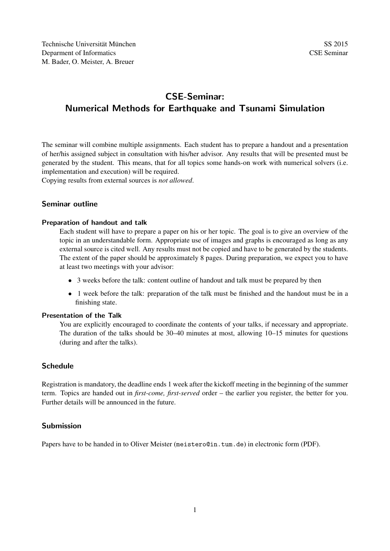# CSE-Seminar: Numerical Methods for Earthquake and Tsunami Simulation

The seminar will combine multiple assignments. Each student has to prepare a handout and a presentation of her/his assigned subject in consultation with his/her advisor. Any results that will be presented must be generated by the student. This means, that for all topics some hands-on work with numerical solvers (i.e. implementation and execution) will be required.

Copying results from external sources is *not allowed*.

#### Seminar outline

#### Preparation of handout and talk

Each student will have to prepare a paper on his or her topic. The goal is to give an overview of the topic in an understandable form. Appropriate use of images and graphs is encouraged as long as any external source is cited well. Any results must not be copied and have to be generated by the students. The extent of the paper should be approximately 8 pages. During preparation, we expect you to have at least two meetings with your advisor:

- 3 weeks before the talk: content outline of handout and talk must be prepared by then
- 1 week before the talk: preparation of the talk must be finished and the handout must be in a finishing state.

#### Presentation of the Talk

You are explicitly encouraged to coordinate the contents of your talks, if necessary and appropriate. The duration of the talks should be 30–40 minutes at most, allowing 10–15 minutes for questions (during and after the talks).

#### Schedule

Registration is mandatory, the deadline ends 1 week after the kickoff meeting in the beginning of the summer term. Topics are handed out in *first-come, first-served* order – the earlier you register, the better for you. Further details will be announced in the future.

#### Submission

Papers have to be handed in to Oliver Meister (meistero@in.tum.de) in electronic form (PDF).